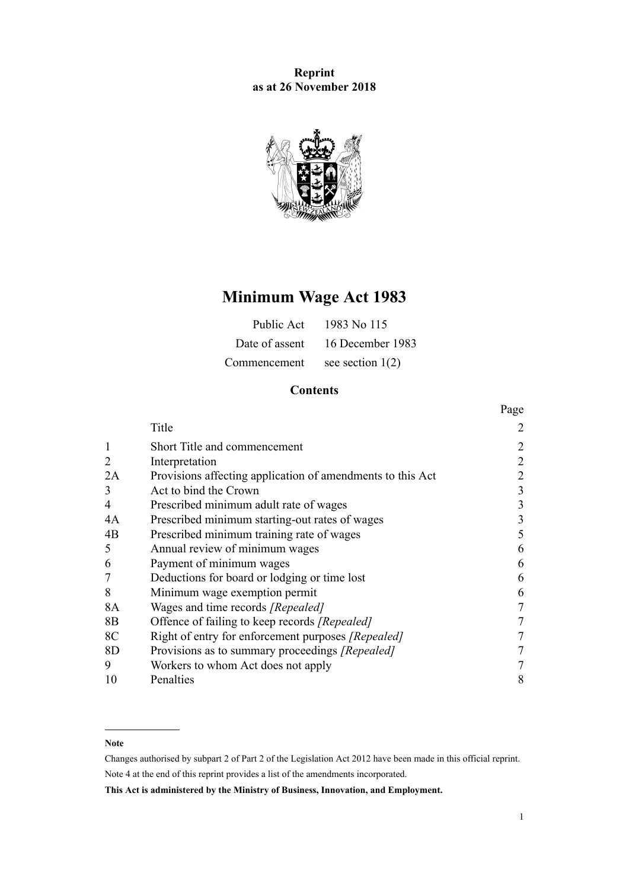# **Reprint as at 26 November 2018**



# **Minimum Wage Act 1983**

| Public Act     | 1983 No 115        |
|----------------|--------------------|
| Date of assent | 16 December 1983   |
| Commencement   | see section $1(2)$ |

# **Contents**

|    |                                                            | Page |
|----|------------------------------------------------------------|------|
|    | Title                                                      | 2    |
| 1  | Short Title and commencement                               | 2    |
| 2  | Interpretation                                             | 2    |
| 2A | Provisions affecting application of amendments to this Act | 2    |
| 3  | Act to bind the Crown                                      | 3    |
| 4  | Prescribed minimum adult rate of wages                     | 3    |
| 4A | Prescribed minimum starting-out rates of wages             | 3    |
| 4B | Prescribed minimum training rate of wages                  | 5    |
| 5  | Annual review of minimum wages                             | 6    |
| 6  | Payment of minimum wages                                   | 6    |
|    | Deductions for board or lodging or time lost               | 6    |
| 8  | Minimum wage exemption permit                              | 6    |
| 8A | Wages and time records [Repealed]                          | 7    |
| 8B | Offence of failing to keep records [Repealed]              |      |
| 8C | Right of entry for enforcement purposes [Repealed]         |      |
| 8D | Provisions as to summary proceedings [Repealed]            |      |
| 9  | Workers to whom Act does not apply                         |      |
| 10 | Penalties                                                  | 8    |

## **Note**

Changes authorised by [subpart 2](http://legislation.govt.nz/pdflink.aspx?id=DLM2998524) of Part 2 of the Legislation Act 2012 have been made in this official reprint. Note 4 at the end of this reprint provides a list of the amendments incorporated.

**This Act is administered by the Ministry of Business, Innovation, and Employment.**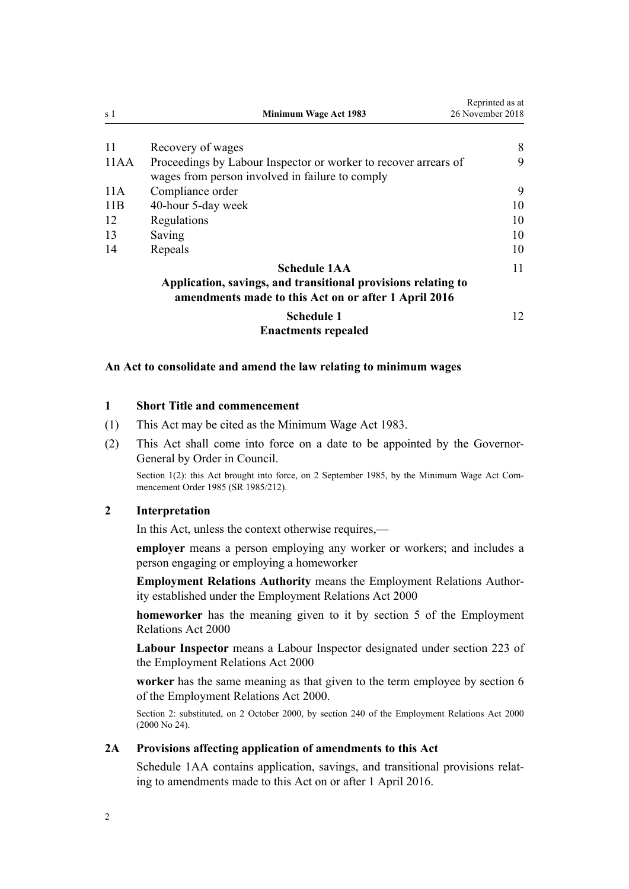<span id="page-1-0"></span>

| s 1  | <b>Minimum Wage Act 1983</b>                                                                                                                 | Reprinted as at<br>26 November 2018 |
|------|----------------------------------------------------------------------------------------------------------------------------------------------|-------------------------------------|
| -11  | Recovery of wages                                                                                                                            | 8                                   |
| 11AA | Proceedings by Labour Inspector or worker to recover arrears of<br>wages from person involved in failure to comply                           | 9                                   |
| 11 A | Compliance order                                                                                                                             | 9                                   |
| 11B  | 40-hour 5-day week                                                                                                                           | 10                                  |
| 12   | Regulations                                                                                                                                  | 10                                  |
| 13   | Saving                                                                                                                                       | 10                                  |
| 14   | Repeals                                                                                                                                      | 10                                  |
|      | <b>Schedule 1AA</b><br>Application, savings, and transitional provisions relating to<br>amendments made to this Act on or after 1 April 2016 | 11                                  |
|      | <b>Schedule 1</b><br><b>Enactments repealed</b>                                                                                              | 12                                  |

## **An Act to consolidate and amend the law relating to minimum wages**

#### **1 Short Title and commencement**

- (1) This Act may be cited as the Minimum Wage Act 1983.
- (2) This Act shall come into force on a date to be appointed by the Governor-General by Order in Council.

Section 1(2): this Act brought into force, on 2 September 1985, by the [Minimum Wage Act Com](http://legislation.govt.nz/pdflink.aspx?id=DLM102168)[mencement Order 1985](http://legislation.govt.nz/pdflink.aspx?id=DLM102168) (SR 1985/212).

## **2 Interpretation**

In this Act, unless the context otherwise requires,—

**employer** means a person employing any worker or workers; and includes a person engaging or employing a homeworker

**Employment Relations Authority** means the Employment Relations Authority established under the [Employment Relations Act 2000](http://legislation.govt.nz/pdflink.aspx?id=DLM58316)

**homeworker** has the meaning given to it by [section 5](http://legislation.govt.nz/pdflink.aspx?id=DLM58337) of the Employment Relations Act 2000

**Labour Inspector** means a Labour Inspector designated under [section 223](http://legislation.govt.nz/pdflink.aspx?id=DLM61444) of the Employment Relations Act 2000

**worker** has the same meaning as that given to the term employee by [section 6](http://legislation.govt.nz/pdflink.aspx?id=DLM58619) of the Employment Relations Act 2000.

Section 2: substituted, on 2 October 2000, by [section 240](http://legislation.govt.nz/pdflink.aspx?id=DLM61487) of the Employment Relations Act 2000 (2000 No 24).

## **2A Provisions affecting application of amendments to this Act**

[Schedule 1AA](#page-10-0) contains application, savings, and transitional provisions relating to amendments made to this Act on or after 1 April 2016.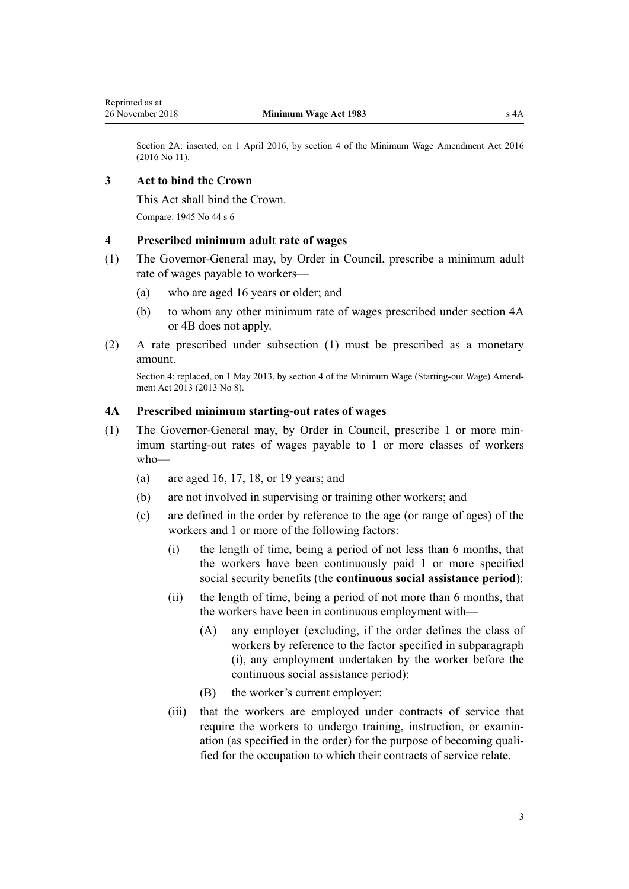<span id="page-2-0"></span>Section 2A: inserted, on 1 April 2016, by [section 4](http://legislation.govt.nz/pdflink.aspx?id=DLM6773435) of the Minimum Wage Amendment Act 2016 (2016 No 11).

## **3 Act to bind the Crown**

This Act shall bind the Crown.

Compare: 1945 No 44 s 6

## **4 Prescribed minimum adult rate of wages**

- (1) The Governor-General may, by Order in Council, prescribe a minimum adult rate of wages payable to workers—
	- (a) who are aged 16 years or older; and
	- (b) to whom any other minimum rate of wages prescribed under section 4A or [4B](#page-4-0) does not apply.
- (2) A rate prescribed under subsection (1) must be prescribed as a monetary amount.

Section 4: replaced, on 1 May 2013, by [section 4](http://legislation.govt.nz/pdflink.aspx?id=DLM4752315) of the Minimum Wage (Starting-out Wage) Amendment Act 2013 (2013 No 8).

## **4A Prescribed minimum starting-out rates of wages**

- (1) The Governor-General may, by Order in Council, prescribe 1 or more minimum starting-out rates of wages payable to 1 or more classes of workers who—
	- (a) are aged 16, 17, 18, or 19 years; and
	- (b) are not involved in supervising or training other workers; and
	- (c) are defined in the order by reference to the age (or range of ages) of the workers and 1 or more of the following factors:
		- (i) the length of time, being a period of not less than 6 months, that the workers have been continuously paid 1 or more specified social security benefits (the **continuous social assistance period**):
		- (ii) the length of time, being a period of not more than 6 months, that the workers have been in continuous employment with—
			- (A) any employer (excluding, if the order defines the class of workers by reference to the factor specified in subparagraph (i), any employment undertaken by the worker before the continuous social assistance period):
			- (B) the worker's current employer:
		- (iii) that the workers are employed under contracts of service that require the workers to undergo training, instruction, or examination (as specified in the order) for the purpose of becoming qualified for the occupation to which their contracts of service relate.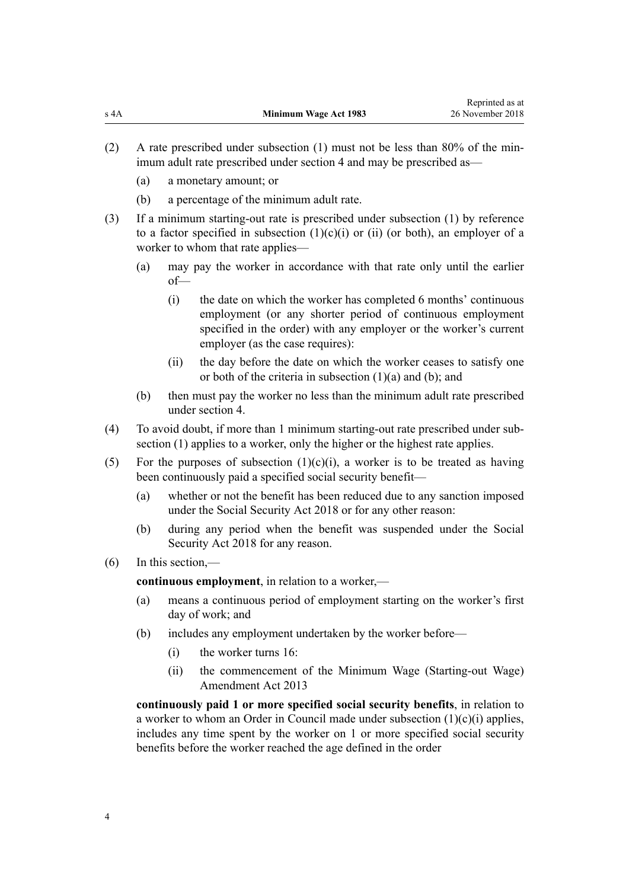- (2) A rate prescribed under subsection (1) must not be less than 80% of the minimum adult rate prescribed under [section 4](#page-2-0) and may be prescribed as—
	- (a) a monetary amount; or
	- (b) a percentage of the minimum adult rate.
- (3) If a minimum starting-out rate is prescribed under subsection (1) by reference to a factor specified in subsection  $(1)(c)(i)$  or  $(ii)$  (or both), an employer of a worker to whom that rate applies—
	- (a) may pay the worker in accordance with that rate only until the earlier of—
		- (i) the date on which the worker has completed 6 months' continuous employment (or any shorter period of continuous employment specified in the order) with any employer or the worker's current employer (as the case requires):
		- (ii) the day before the date on which the worker ceases to satisfy one or both of the criteria in subsection (1)(a) and (b); and
	- (b) then must pay the worker no less than the minimum adult rate prescribed under [section 4](#page-2-0).
- (4) To avoid doubt, if more than 1 minimum starting-out rate prescribed under subsection (1) applies to a worker, only the higher or the highest rate applies.
- (5) For the purposes of subsection  $(1)(c)(i)$ , a worker is to be treated as having been continuously paid a specified social security benefit—
	- (a) whether or not the benefit has been reduced due to any sanction imposed under the [Social Security Act 2018](http://legislation.govt.nz/pdflink.aspx?id=DLM6783102) or for any other reason:
	- (b) during any period when the benefit was suspended under the [Social](http://legislation.govt.nz/pdflink.aspx?id=DLM6783102) [Security Act 2018](http://legislation.govt.nz/pdflink.aspx?id=DLM6783102) for any reason.
- (6) In this section,—

**continuous employment**, in relation to a worker,—

- (a) means a continuous period of employment starting on the worker's first day of work; and
- (b) includes any employment undertaken by the worker before—
	- (i) the worker turns 16:
	- (ii) the commencement of the [Minimum Wage \(Starting-out Wage\)](http://legislation.govt.nz/pdflink.aspx?id=DLM4752301) [Amendment Act 2013](http://legislation.govt.nz/pdflink.aspx?id=DLM4752301)

**continuously paid 1 or more specified social security benefits**, in relation to a worker to whom an Order in Council made under subsection  $(1)(c)(i)$  applies, includes any time spent by the worker on 1 or more specified social security benefits before the worker reached the age defined in the order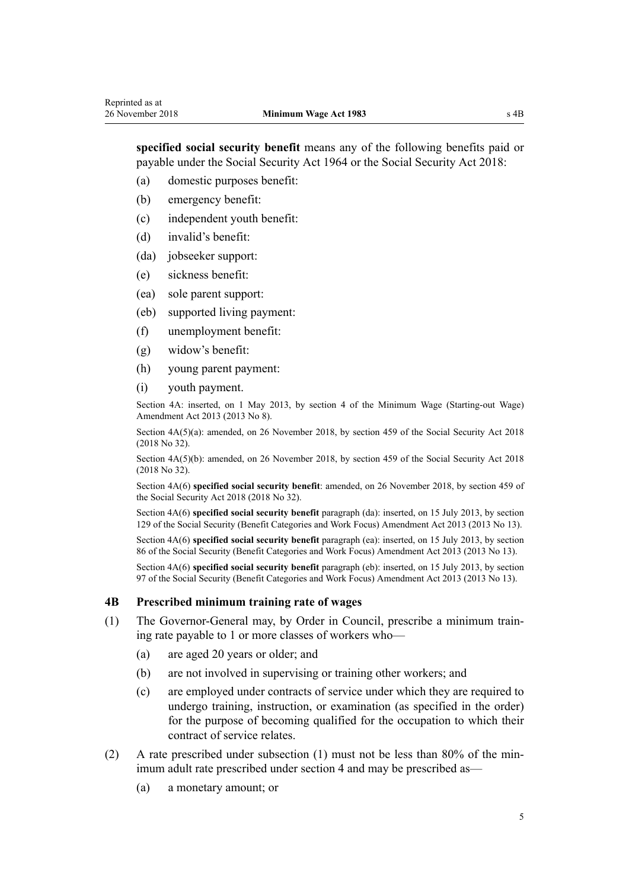<span id="page-4-0"></span>**specified social security benefit** means any of the following benefits paid or payable under the [Social Security Act 1964](http://legislation.govt.nz/pdflink.aspx?id=DLM359106) or the [Social Security Act 2018:](http://legislation.govt.nz/pdflink.aspx?id=DLM6783102)

(a) domestic purposes benefit:

- (b) emergency benefit:
- (c) independent youth benefit:
- (d) invalid's benefit:
- (da) jobseeker support:
- (e) sickness benefit:
- (ea) sole parent support:
- (eb) supported living payment:
- (f) unemployment benefit:
- (g) widow's benefit:
- (h) young parent payment:
- (i) youth payment.

Section 4A: inserted, on 1 May 2013, by [section 4](http://legislation.govt.nz/pdflink.aspx?id=DLM4752315) of the Minimum Wage (Starting-out Wage) Amendment Act 2013 (2013 No 8).

Section 4A(5)(a): amended, on 26 November 2018, by [section 459](http://legislation.govt.nz/pdflink.aspx?id=DLM6784038) of the Social Security Act 2018 (2018 No 32).

Section  $4A(5)(b)$ : amended, on 26 November 2018, by [section 459](http://legislation.govt.nz/pdflink.aspx?id=DLM6784038) of the Social Security Act 2018 (2018 No 32).

Section 4A(6) **specified social security benefit**: amended, on 26 November 2018, by [section 459](http://legislation.govt.nz/pdflink.aspx?id=DLM6784038) of the Social Security Act 2018 (2018 No 32).

Section 4A(6) **specified social security benefit** paragraph (da): inserted, on 15 July 2013, by [section](http://legislation.govt.nz/pdflink.aspx?id=DLM4542494) [129](http://legislation.govt.nz/pdflink.aspx?id=DLM4542494) of the Social Security (Benefit Categories and Work Focus) Amendment Act 2013 (2013 No 13).

Section 4A(6) **specified social security benefit** paragraph (ea): inserted, on 15 July 2013, by [section](http://legislation.govt.nz/pdflink.aspx?id=DLM4542405) [86](http://legislation.govt.nz/pdflink.aspx?id=DLM4542405) of the Social Security (Benefit Categories and Work Focus) Amendment Act 2013 (2013 No 13).

Section 4A(6) **specified social security benefit** paragraph (eb): inserted, on 15 July 2013, by [section](http://legislation.govt.nz/pdflink.aspx?id=DLM4542434) [97](http://legislation.govt.nz/pdflink.aspx?id=DLM4542434) of the Social Security (Benefit Categories and Work Focus) Amendment Act 2013 (2013 No 13).

#### **4B Prescribed minimum training rate of wages**

- (1) The Governor-General may, by Order in Council, prescribe a minimum training rate payable to 1 or more classes of workers who—
	- (a) are aged 20 years or older; and
	- (b) are not involved in supervising or training other workers; and
	- (c) are employed under contracts of service under which they are required to undergo training, instruction, or examination (as specified in the order) for the purpose of becoming qualified for the occupation to which their contract of service relates.
- (2) A rate prescribed under subsection (1) must not be less than 80% of the minimum adult rate prescribed under [section 4](#page-2-0) and may be prescribed as—
	- (a) a monetary amount; or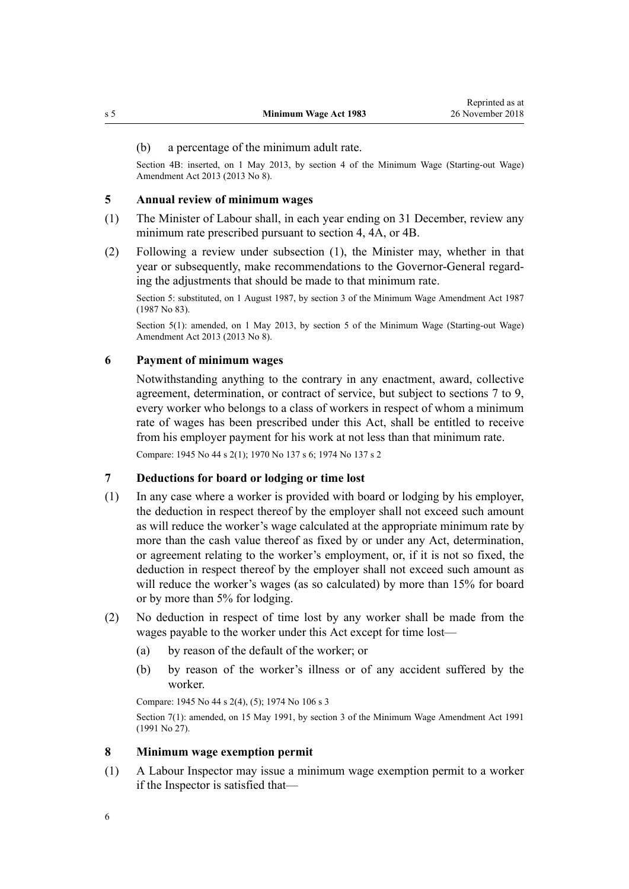#### <span id="page-5-0"></span>(b) a percentage of the minimum adult rate.

Section 4B: inserted, on 1 May 2013, by [section 4](http://legislation.govt.nz/pdflink.aspx?id=DLM4752315) of the Minimum Wage (Starting-out Wage) Amendment Act 2013 (2013 No 8).

#### **5 Annual review of minimum wages**

- (1) The Minister of Labour shall, in each year ending on 31 December, review any minimum rate prescribed pursuant to [section 4](#page-2-0), [4A,](#page-2-0) or [4B.](#page-4-0)
- (2) Following a review under subsection (1), the Minister may, whether in that year or subsequently, make recommendations to the Governor-General regarding the adjustments that should be made to that minimum rate.

Section 5: substituted, on 1 August 1987, by section 3 of the Minimum Wage Amendment Act 1987 (1987 No 83).

Section 5(1): amended, on 1 May 2013, by [section 5](http://legislation.govt.nz/pdflink.aspx?id=DLM4752323) of the Minimum Wage (Starting-out Wage) Amendment Act 2013 (2013 No 8).

#### **6 Payment of minimum wages**

Notwithstanding anything to the contrary in any enactment, award, collective agreement, determination, or contract of service, but subject to sections 7 to 9, every worker who belongs to a class of workers in respect of whom a minimum rate of wages has been prescribed under this Act, shall be entitled to receive from his employer payment for his work at not less than that minimum rate.

Compare: 1945 No 44 s 2(1); 1970 No 137 [s 6;](http://legislation.govt.nz/pdflink.aspx?id=DLM396805) 1974 No 137 s 2

## **7 Deductions for board or lodging or time lost**

- (1) In any case where a worker is provided with board or lodging by his employer, the deduction in respect thereof by the employer shall not exceed such amount as will reduce the worker's wage calculated at the appropriate minimum rate by more than the cash value thereof as fixed by or under any Act, determination, or agreement relating to the worker's employment, or, if it is not so fixed, the deduction in respect thereof by the employer shall not exceed such amount as will reduce the worker's wages (as so calculated) by more than 15% for board or by more than 5% for lodging.
- (2) No deduction in respect of time lost by any worker shall be made from the wages payable to the worker under this Act except for time lost—
	- (a) by reason of the default of the worker; or
	- (b) by reason of the worker's illness or of any accident suffered by the worker.

Compare: 1945 No 44 s 2(4), (5); 1974 No 106 s 3

Section 7(1): amended, on 15 May 1991, by section 3 of the Minimum Wage Amendment Act 1991 (1991 No 27).

#### **8 Minimum wage exemption permit**

(1) A Labour Inspector may issue a minimum wage exemption permit to a worker if the Inspector is satisfied that—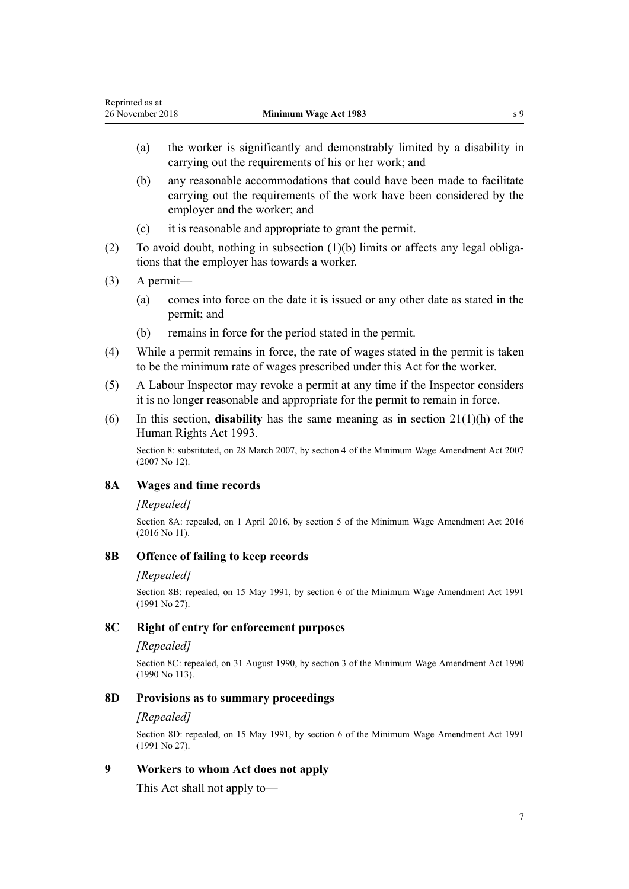- <span id="page-6-0"></span>(a) the worker is significantly and demonstrably limited by a disability in carrying out the requirements of his or her work; and
- (b) any reasonable accommodations that could have been made to facilitate carrying out the requirements of the work have been considered by the employer and the worker; and
- (c) it is reasonable and appropriate to grant the permit.
- (2) To avoid doubt, nothing in subsection (1)(b) limits or affects any legal obligations that the employer has towards a worker.
- (3) A permit—
	- (a) comes into force on the date it is issued or any other date as stated in the permit; and
	- (b) remains in force for the period stated in the permit.
- (4) While a permit remains in force, the rate of wages stated in the permit is taken to be the minimum rate of wages prescribed under this Act for the worker.
- (5) A Labour Inspector may revoke a permit at any time if the Inspector considers it is no longer reasonable and appropriate for the permit to remain in force.
- (6) In this section, **disability** has the same meaning as in [section 21\(1\)\(h\)](http://legislation.govt.nz/pdflink.aspx?id=DLM304475) of the Human Rights Act 1993.

Section 8: substituted, on 28 March 2007, by [section 4](http://legislation.govt.nz/pdflink.aspx?id=DLM406428) of the Minimum Wage Amendment Act 2007 (2007 No 12).

## **8A Wages and time records**

#### *[Repealed]*

Section 8A: repealed, on 1 April 2016, by [section 5](http://legislation.govt.nz/pdflink.aspx?id=DLM6773437) of the Minimum Wage Amendment Act 2016 (2016 No 11).

### **8B Offence of failing to keep records**

#### *[Repealed]*

Section 8B: repealed, on 15 May 1991, by section 6 of the Minimum Wage Amendment Act 1991 (1991 No 27).

#### **8C Right of entry for enforcement purposes**

### *[Repealed]*

Section 8C: repealed, on 31 August 1990, by section 3 of the Minimum Wage Amendment Act 1990 (1990 No 113).

## **8D Provisions as to summary proceedings**

#### *[Repealed]*

Section 8D: repealed, on 15 May 1991, by section 6 of the Minimum Wage Amendment Act 1991 (1991 No 27).

# **9 Workers to whom Act does not apply**

This Act shall not apply to—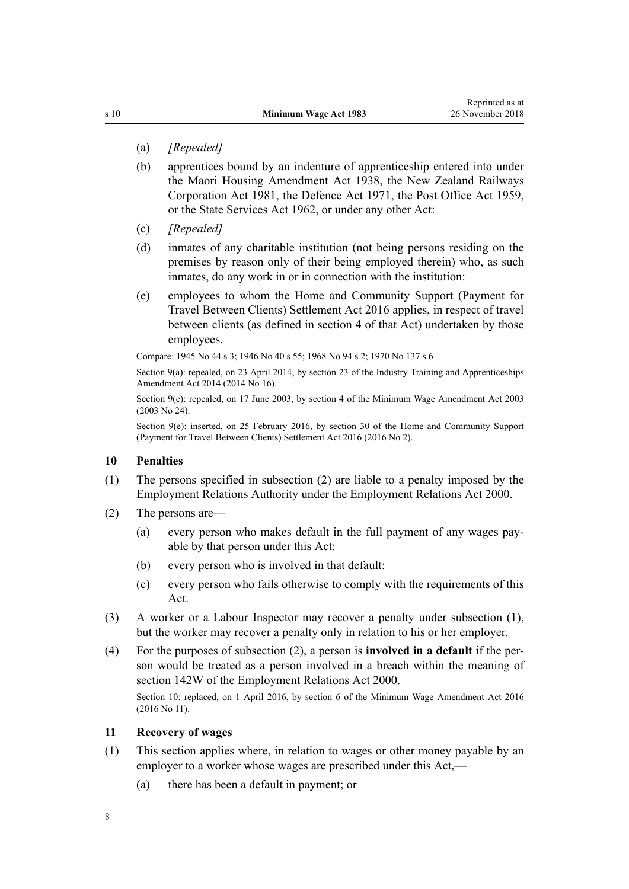- <span id="page-7-0"></span>(a) *[Repealed]*
- (b) apprentices bound by an indenture of apprenticeship entered into under the [Maori Housing Amendment Act 1938](http://legislation.govt.nz/pdflink.aspx?id=DLM224191), the [New Zealand Railways](http://legislation.govt.nz/pdflink.aspx?id=DLM57005) [Corporation Act 1981](http://legislation.govt.nz/pdflink.aspx?id=DLM57005), the Defence Act 1971, the Post Office Act 1959, or the State Services Act 1962, or under any other Act:
- (c) *[Repealed]*
- (d) inmates of any charitable institution (not being persons residing on the premises by reason only of their being employed therein) who, as such inmates, do any work in or in connection with the institution:
- (e) employees to whom the [Home and Community Support \(Payment for](http://legislation.govt.nz/pdflink.aspx?id=DLM6600902) [Travel Between Clients\) Settlement Act 2016](http://legislation.govt.nz/pdflink.aspx?id=DLM6600902) applies, in respect of travel between clients (as defined in [section 4](http://legislation.govt.nz/pdflink.aspx?id=DLM6600918) of that Act) undertaken by those employees.

Compare: 1945 No 44 s 3; 1946 No 40 [s 55](http://legislation.govt.nz/pdflink.aspx?id=DLM242416); 1968 No 94 s 2; 1970 No 137 [s 6](http://legislation.govt.nz/pdflink.aspx?id=DLM396805)

Section 9(a): repealed, on 23 April 2014, by [section 23](http://legislation.govt.nz/pdflink.aspx?id=DLM5640500) of the Industry Training and Apprenticeships Amendment Act 2014 (2014 No 16).

Section 9(c): repealed, on 17 June 2003, by [section 4](http://legislation.govt.nz/pdflink.aspx?id=DLM197072) of the Minimum Wage Amendment Act 2003 (2003 No 24).

Section 9(e): inserted, on 25 February 2016, by [section 30](http://legislation.govt.nz/pdflink.aspx?id=DLM6601008) of the Home and Community Support (Payment for Travel Between Clients) Settlement Act 2016 (2016 No 2).

## **10 Penalties**

- (1) The persons specified in subsection (2) are liable to a penalty imposed by the Employment Relations Authority under the [Employment Relations Act 2000](http://legislation.govt.nz/pdflink.aspx?id=DLM58316).
- (2) The persons are—
	- (a) every person who makes default in the full payment of any wages payable by that person under this Act:
	- (b) every person who is involved in that default:
	- (c) every person who fails otherwise to comply with the requirements of this Act.
- (3) A worker or a Labour Inspector may recover a penalty under subsection (1), but the worker may recover a penalty only in relation to his or her employer.
- (4) For the purposes of subsection (2), a person is **involved in a default** if the person would be treated as a person involved in a breach within the meaning of [section 142W](http://legislation.govt.nz/pdflink.aspx?id=DLM6803099) of the Employment Relations Act 2000.

Section 10: replaced, on 1 April 2016, by [section 6](http://legislation.govt.nz/pdflink.aspx?id=DLM6773438) of the Minimum Wage Amendment Act 2016 (2016 No 11).

## **11 Recovery of wages**

- (1) This section applies where, in relation to wages or other money payable by an employer to a worker whose wages are prescribed under this Act,—
	- (a) there has been a default in payment; or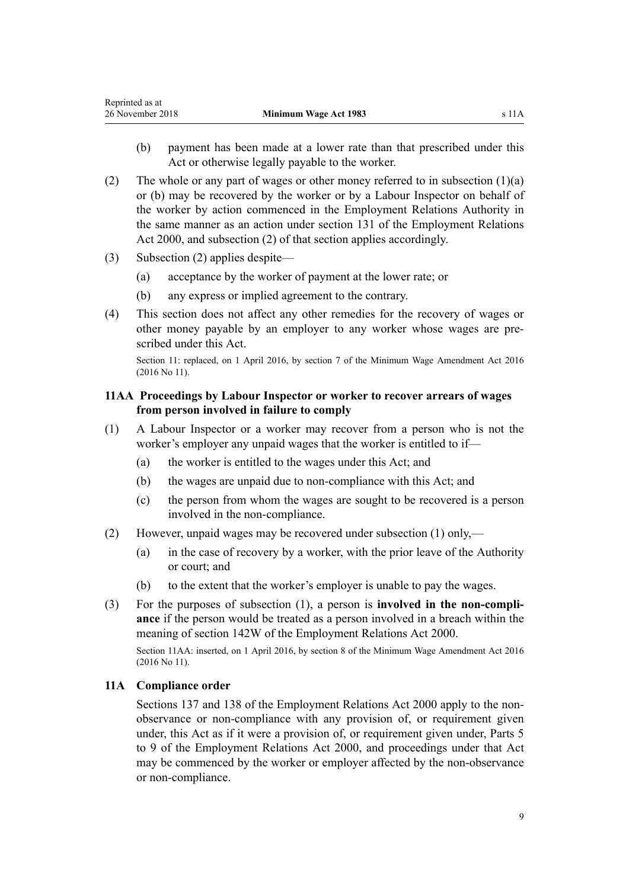- <span id="page-8-0"></span>(b) payment has been made at a lower rate than that prescribed under this Act or otherwise legally payable to the worker.
- (2) The whole or any part of wages or other money referred to in subsection  $(1)(a)$ or (b) may be recovered by the worker or by a Labour Inspector on behalf of the worker by action commenced in the Employment Relations Authority in the same manner as an action under [section 131](http://legislation.govt.nz/pdflink.aspx?id=DLM60376) of the Employment Relations Act 2000, and subsection (2) of that section applies accordingly.
- (3) Subsection (2) applies despite—
	- (a) acceptance by the worker of payment at the lower rate; or
	- (b) any express or implied agreement to the contrary.
- (4) This section does not affect any other remedies for the recovery of wages or other money payable by an employer to any worker whose wages are prescribed under this Act.

Section 11: replaced, on 1 April 2016, by [section 7](http://legislation.govt.nz/pdflink.aspx?id=DLM6773441) of the Minimum Wage Amendment Act 2016 (2016 No 11).

## **11AA Proceedings by Labour Inspector or worker to recover arrears of wages from person involved in failure to comply**

- (1) A Labour Inspector or a worker may recover from a person who is not the worker's employer any unpaid wages that the worker is entitled to if—
	- (a) the worker is entitled to the wages under this Act; and
	- (b) the wages are unpaid due to non-compliance with this Act; and
	- (c) the person from whom the wages are sought to be recovered is a person involved in the non-compliance.
- (2) However, unpaid wages may be recovered under subsection (1) only,—
	- (a) in the case of recovery by a worker, with the prior leave of the Authority or court; and
	- (b) to the extent that the worker's employer is unable to pay the wages.
- (3) For the purposes of subsection (1), a person is **involved in the non-compliance** if the person would be treated as a person involved in a breach within the meaning of [section 142W](http://legislation.govt.nz/pdflink.aspx?id=DLM6803099) of the Employment Relations Act 2000.

Section 11AA: inserted, on 1 April 2016, by [section 8](http://legislation.govt.nz/pdflink.aspx?id=DLM6773443) of the Minimum Wage Amendment Act 2016 (2016 No 11).

## **11A Compliance order**

[Sections 137](http://legislation.govt.nz/pdflink.aspx?id=DLM60387) and [138](http://legislation.govt.nz/pdflink.aspx?id=DLM60393) of the Employment Relations Act 2000 apply to the nonobservance or non-compliance with any provision of, or requirement given under, this Act as if it were a provision of, or requirement given under, [Parts 5](http://legislation.govt.nz/pdflink.aspx?id=DLM58658) [to 9](http://legislation.govt.nz/pdflink.aspx?id=DLM58658) of the Employment Relations Act 2000, and proceedings under that Act may be commenced by the worker or employer affected by the non-observance or non-compliance.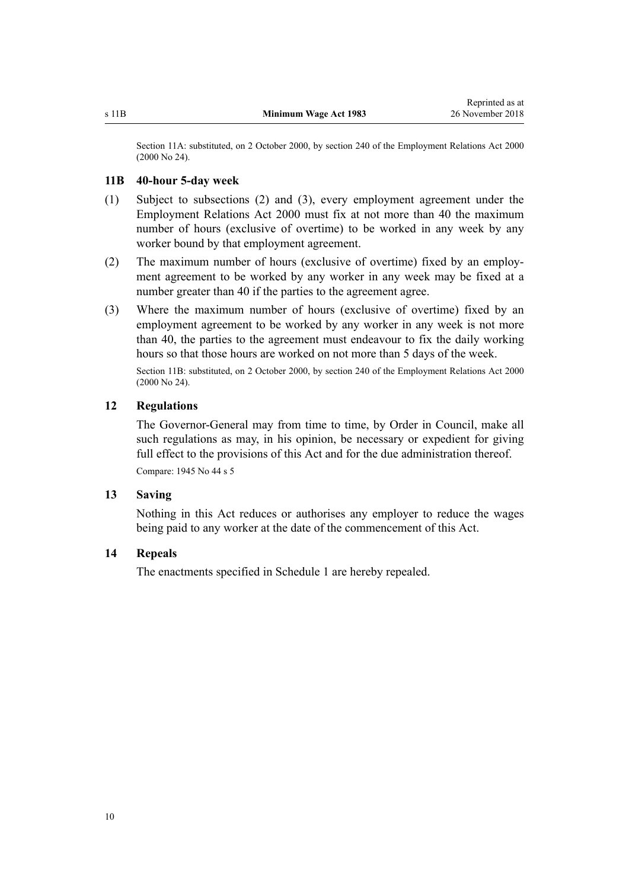<span id="page-9-0"></span>Section 11A: substituted, on 2 October 2000, by [section 240](http://legislation.govt.nz/pdflink.aspx?id=DLM61487) of the Employment Relations Act 2000 (2000 No 24).

#### **11B 40-hour 5-day week**

- (1) Subject to subsections (2) and (3), every employment agreement under the [Employment Relations Act 2000](http://legislation.govt.nz/pdflink.aspx?id=DLM58316) must fix at not more than 40 the maximum number of hours (exclusive of overtime) to be worked in any week by any worker bound by that employment agreement.
- (2) The maximum number of hours (exclusive of overtime) fixed by an employment agreement to be worked by any worker in any week may be fixed at a number greater than 40 if the parties to the agreement agree.
- (3) Where the maximum number of hours (exclusive of overtime) fixed by an employment agreement to be worked by any worker in any week is not more than 40, the parties to the agreement must endeavour to fix the daily working hours so that those hours are worked on not more than 5 days of the week.

Section 11B: substituted, on 2 October 2000, by [section 240](http://legislation.govt.nz/pdflink.aspx?id=DLM61487) of the Employment Relations Act 2000 (2000 No 24).

#### **12 Regulations**

The Governor-General may from time to time, by Order in Council, make all such regulations as may, in his opinion, be necessary or expedient for giving full effect to the provisions of this Act and for the due administration thereof.

Compare: 1945 No 44 s 5

## **13 Saving**

Nothing in this Act reduces or authorises any employer to reduce the wages being paid to any worker at the date of the commencement of this Act.

#### **14 Repeals**

The enactments specified in [Schedule 1](#page-11-0) are hereby repealed.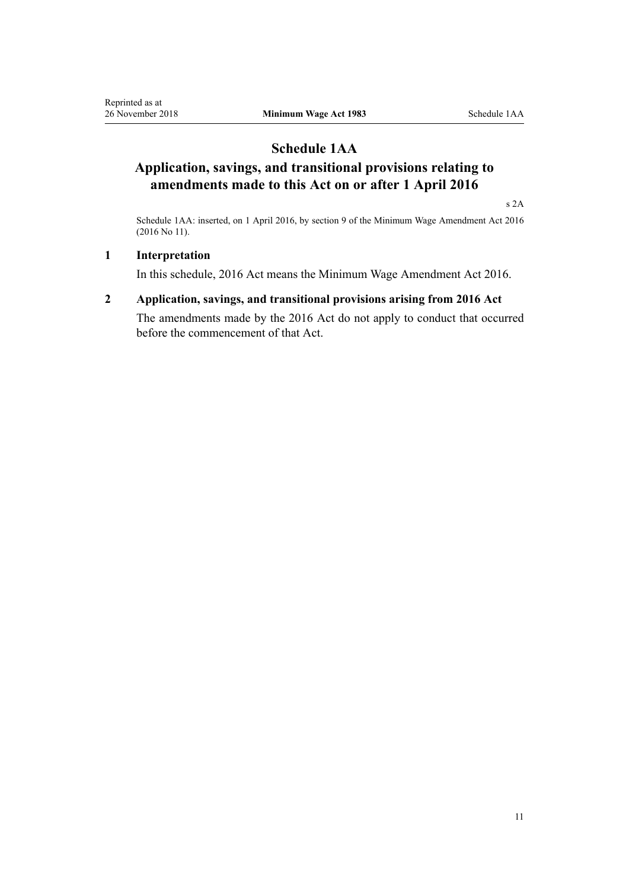# **Schedule 1AA**

# <span id="page-10-0"></span>**Application, savings, and transitional provisions relating to amendments made to this Act on or after 1 April 2016**

[s 2A](#page-1-0)

Schedule 1AA: inserted, on 1 April 2016, by [section 9](http://legislation.govt.nz/pdflink.aspx?id=DLM6773446) of the Minimum Wage Amendment Act 2016 (2016 No 11).

## **1 Interpretation**

In this schedule, 2016 Act means the [Minimum Wage Amendment Act 2016.](http://legislation.govt.nz/pdflink.aspx?id=DLM6773429)

## **2 Application, savings, and transitional provisions arising from 2016 Act**

The amendments made by the 2016 Act do not apply to conduct that occurred before the commencement of that Act.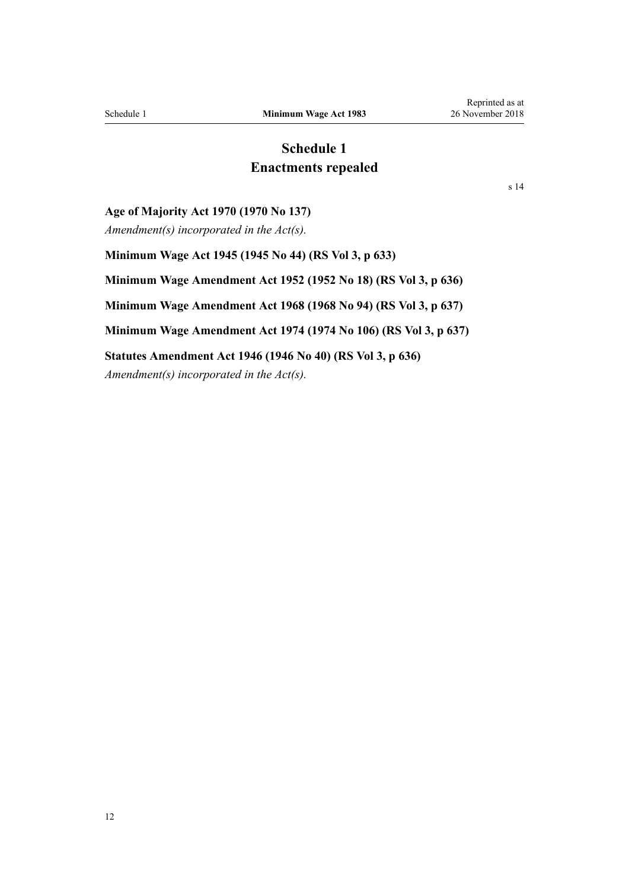# **Schedule 1 Enactments repealed**

[s 14](#page-9-0)

<span id="page-11-0"></span>**Age of Majority Act 1970 (1970 No 137)**

*Amendment(s) incorporated in the [Act\(s\).](http://legislation.govt.nz/pdflink.aspx?id=DLM396810)*

**Minimum Wage Act 1945 (1945 No 44) (RS Vol 3, p 633) Minimum Wage Amendment Act 1952 (1952 No 18) (RS Vol 3, p 636) Minimum Wage Amendment Act 1968 (1968 No 94) (RS Vol 3, p 637) Minimum Wage Amendment Act 1974 (1974 No 106) (RS Vol 3, p 637) Statutes Amendment Act 1946 (1946 No 40) (RS Vol 3, p 636)** *Amendment(s) incorporated in the [Act\(s\).](http://legislation.govt.nz/pdflink.aspx?id=DLM242416)*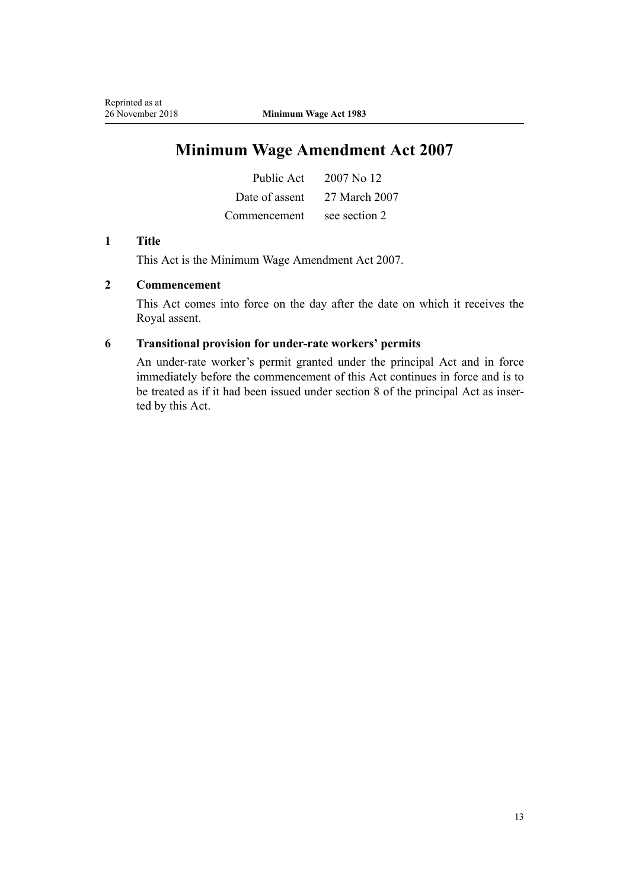# **Minimum Wage Amendment Act 2007**

| Public Act     | 2007 No 12    |
|----------------|---------------|
| Date of assent | 27 March 2007 |
| Commencement   | see section 2 |

## **1 Title**

This Act is the [Minimum Wage Amendment Act 2007](http://legislation.govt.nz/pdflink.aspx?id=DLM406421).

# **2 Commencement**

This Act comes into force on the day after the date on which it receives the Royal assent.

## **6 Transitional provision for under-rate workers' permits**

An under-rate worker's permit granted under the principal Act and in force immediately before the commencement of this Act continues in force and is to be treated as if it had been issued under section 8 of the principal Act as inserted by this Act.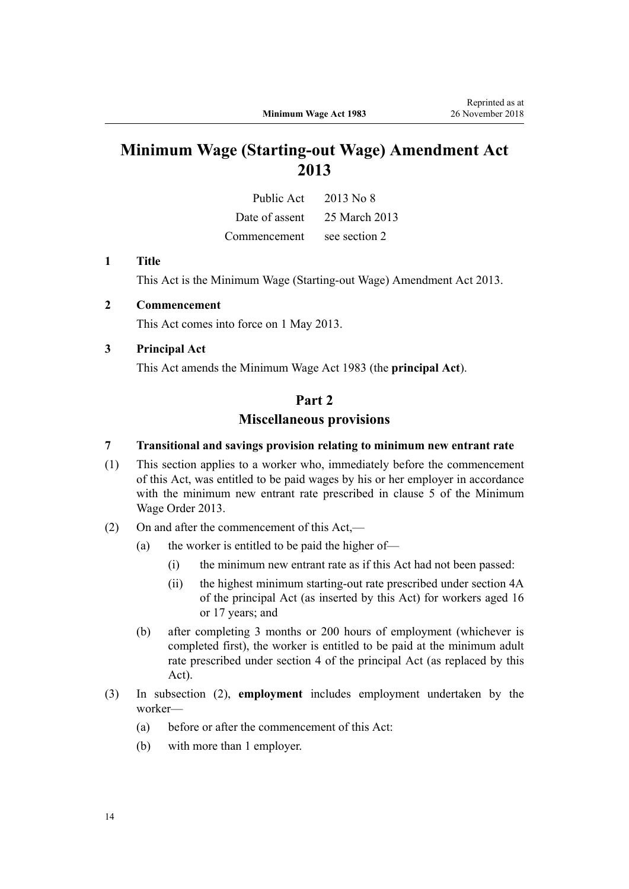# **Minimum Wage (Starting-out Wage) Amendment Act 2013**

| Public Act     | 2013 No 8     |
|----------------|---------------|
| Date of assent | 25 March 2013 |
| Commencement   | see section 2 |

#### **1 Title**

This Act is the [Minimum Wage \(Starting-out Wage\) Amendment Act 2013.](http://legislation.govt.nz/pdflink.aspx?id=DLM4752301)

### **2 Commencement**

This Act comes into force on 1 May 2013.

## **3 Principal Act**

This Act amends the Minimum Wage Act 1983 (the **principal Act**).

## **Part 2**

## **Miscellaneous provisions**

#### **7 Transitional and savings provision relating to minimum new entrant rate**

- (1) This section applies to a worker who, immediately before the commencement of this Act, was entitled to be paid wages by his or her employer in accordance with the minimum new entrant rate prescribed in clause 5 of the Minimum Wage Order 2013.
- (2) On and after the commencement of this Act,—
	- (a) the worker is entitled to be paid the higher of—
		- (i) the minimum new entrant rate as if this Act had not been passed:
		- (ii) the highest minimum starting-out rate prescribed under section 4A of the principal Act (as inserted by this Act) for workers aged 16 or 17 years; and
	- (b) after completing 3 months or 200 hours of employment (whichever is completed first), the worker is entitled to be paid at the minimum adult rate prescribed under section 4 of the principal Act (as replaced by this Act).
- (3) In subsection (2), **employment** includes employment undertaken by the worker—
	- (a) before or after the commencement of this Act:
	- (b) with more than 1 employer.